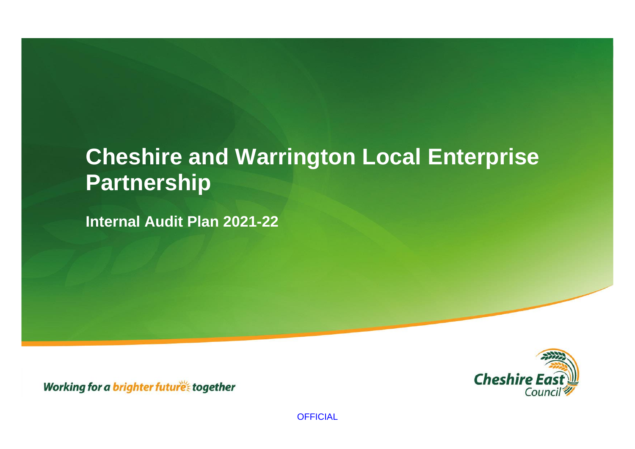# **Cheshire and Warrington Local Enterprise Partnership**

**Internal Audit Plan 2021-22**

**Cheshire E** Cound

Working for a brighter futures together

**OFFICIAL**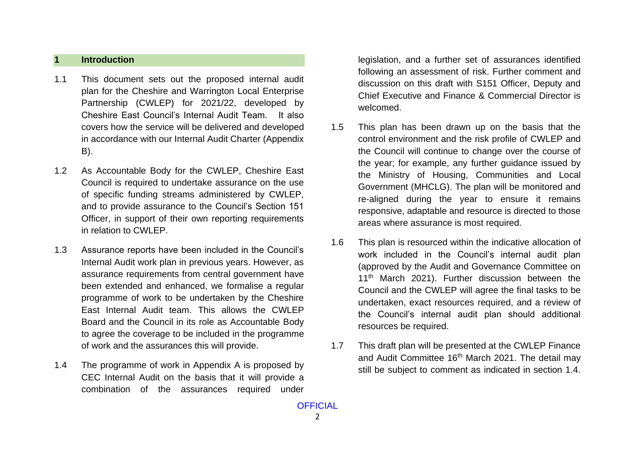#### **1 Introduction**

- 1.1 This document sets out the proposed internal audit plan for the Cheshire and Warrington Local Enterprise Partnership (CWLEP) for 2021/22, developed by Cheshire East Council's Internal Audit Team. It also covers how the service will be delivered and developed in accordance with our Internal Audit Charter (Appendix B).
- 1.2 As Accountable Body for the CWLEP, Cheshire East Council is required to undertake assurance on the use of specific funding streams administered by CWLEP, and to provide assurance to the Council's Section 151 Officer, in support of their own reporting requirements in relation to CWLEP.
- 1.3 Assurance reports have been included in the Council's Internal Audit work plan in previous years. However, as assurance requirements from central government have been extended and enhanced, we formalise a regular programme of work to be undertaken by the Cheshire East Internal Audit team. This allows the CWLEP Board and the Council in its role as Accountable Body to agree the coverage to be included in the programme of work and the assurances this will provide.
- 1.4 The programme of work in Appendix A is proposed by CEC Internal Audit on the basis that it will provide a combination of the assurances required under

legislation, and a further set of assurances identified following an assessment of risk. Further comment and discussion on this draft with S151 Officer, Deputy and Chief Executive and Finance & Commercial Director is welcomed.

- 1.5 This plan has been drawn up on the basis that the control environment and the risk profile of CWLEP and the Council will continue to change over the course of the year; for example, any further guidance issued by the Ministry of Housing, Communities and Local Government (MHCLG). The plan will be monitored and re-aligned during the year to ensure it remains responsive, adaptable and resource is directed to those areas where assurance is most required.
- 1.6 This plan is resourced within the indicative allocation of work included in the Council's internal audit plan (approved by the Audit and Governance Committee on 11<sup>th</sup> March 2021). Further discussion between the Council and the CWLEP will agree the final tasks to be undertaken, exact resources required, and a review of the Council's internal audit plan should additional resources be required.
- 1.7 This draft plan will be presented at the CWLEP Finance and Audit Committee 16<sup>th</sup> March 2021. The detail may still be subject to comment as indicated in section 1.4.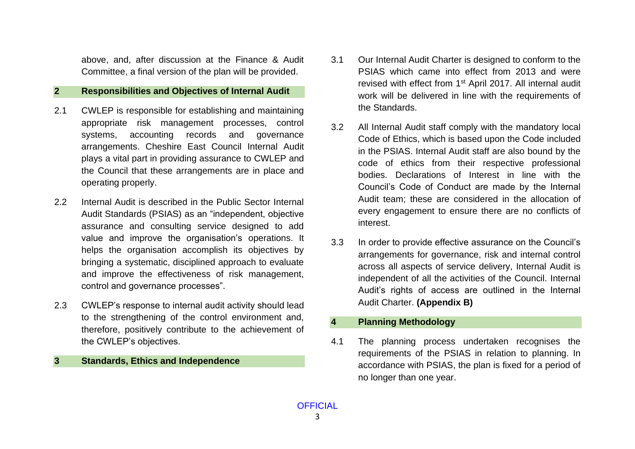above, and, after discussion at the Finance & Audit Committee, a final version of the plan will be provided.

#### **2 Responsibilities and Objectives of Internal Audit**

- 2.1 CWLEP is responsible for establishing and maintaining appropriate risk management processes, control systems, accounting records and governance arrangements. Cheshire East Council Internal Audit plays a vital part in providing assurance to CWLEP and the Council that these arrangements are in place and operating properly.
- 2.2 Internal Audit is described in the Public Sector Internal Audit Standards (PSIAS) as an "independent, objective assurance and consulting service designed to add value and improve the organisation's operations. It helps the organisation accomplish its objectives by bringing a systematic, disciplined approach to evaluate and improve the effectiveness of risk management, control and governance processes".
- 2.3 CWLEP's response to internal audit activity should lead to the strengthening of the control environment and, therefore, positively contribute to the achievement of the CWLEP's objectives.

#### **3 Standards, Ethics and Independence**

- 3.1 Our Internal Audit Charter is designed to conform to the PSIAS which came into effect from 2013 and were revised with effect from 1<sup>st</sup> April 2017. All internal audit work will be delivered in line with the requirements of the Standards.
- 3.2 All Internal Audit staff comply with the mandatory local Code of Ethics, which is based upon the Code included in the PSIAS. Internal Audit staff are also bound by the code of ethics from their respective professional bodies. Declarations of Interest in line with the Council's Code of Conduct are made by the Internal Audit team; these are considered in the allocation of every engagement to ensure there are no conflicts of interest.
- 3.3 In order to provide effective assurance on the Council's arrangements for governance, risk and internal control across all aspects of service delivery, Internal Audit is independent of all the activities of the Council. Internal Audit's rights of access are outlined in the Internal Audit Charter. **(Appendix B)**

## **4 Planning Methodology**

4.1 The planning process undertaken recognises the requirements of the PSIAS in relation to planning. In accordance with PSIAS, the plan is fixed for a period of no longer than one year.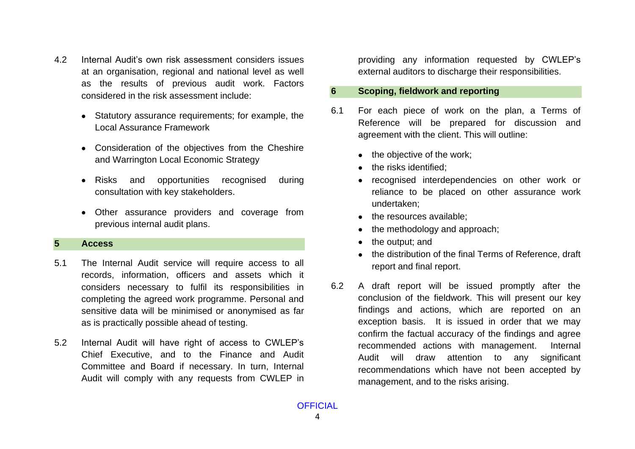- 4.2 Internal Audit's own risk assessment considers issues at an organisation, regional and national level as well as the results of previous audit work. Factors considered in the risk assessment include:
	- Statutory assurance requirements; for example, the Local Assurance Framework
	- Consideration of the objectives from the Cheshire and Warrington Local Economic Strategy
	- Risks and opportunities recognised during consultation with key stakeholders.
	- Other assurance providers and coverage from previous internal audit plans.

#### **5 Access**

- 5.1 The Internal Audit service will require access to all records, information, officers and assets which it considers necessary to fulfil its responsibilities in completing the agreed work programme. Personal and sensitive data will be minimised or anonymised as far as is practically possible ahead of testing.
- 5.2 Internal Audit will have right of access to CWLEP's Chief Executive, and to the Finance and Audit Committee and Board if necessary. In turn, Internal Audit will comply with any requests from CWLEP in

providing any information requested by CWLEP's external auditors to discharge their responsibilities.

#### **6 Scoping, fieldwork and reporting**

- 6.1 For each piece of work on the plan, a Terms of Reference will be prepared for discussion and agreement with the client. This will outline:
	- the objective of the work;
	- the risks identified;
	- recognised interdependencies on other work or reliance to be placed on other assurance work undertaken;
	- the resources available;
	- the methodology and approach;
	- the output; and
	- the distribution of the final Terms of Reference, draft report and final report.
- 6.2 A draft report will be issued promptly after the conclusion of the fieldwork. This will present our key findings and actions, which are reported on an exception basis. It is issued in order that we may confirm the factual accuracy of the findings and agree recommended actions with management. Internal Audit will draw attention to any significant recommendations which have not been accepted by management, and to the risks arising.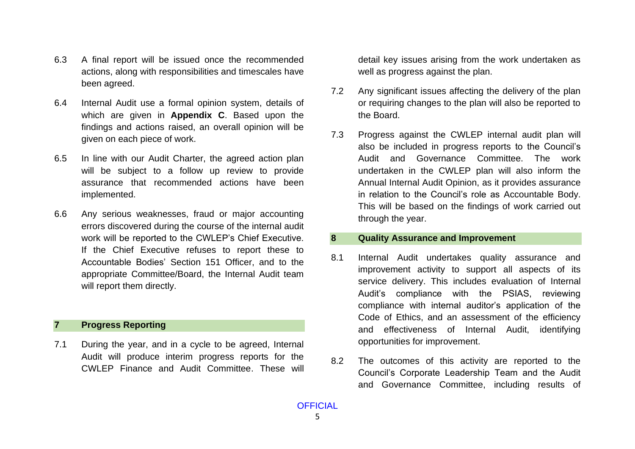- 6.3 A final report will be issued once the recommended actions, along with responsibilities and timescales have been agreed.
- 6.4 Internal Audit use a formal opinion system, details of which are given in **Appendix C**. Based upon the findings and actions raised, an overall opinion will be given on each piece of work.
- 6.5 In line with our Audit Charter, the agreed action plan will be subject to a follow up review to provide assurance that recommended actions have been implemented.
- 6.6 Any serious weaknesses, fraud or major accounting errors discovered during the course of the internal audit work will be reported to the CWLEP's Chief Executive. If the Chief Executive refuses to report these to Accountable Bodies' Section 151 Officer, and to the appropriate Committee/Board, the Internal Audit team will report them directly.

## **7 Progress Reporting**

7.1 During the year, and in a cycle to be agreed, Internal Audit will produce interim progress reports for the CWLEP Finance and Audit Committee. These will

detail key issues arising from the work undertaken as well as progress against the plan.

- 7.2 Any significant issues affecting the delivery of the plan or requiring changes to the plan will also be reported to the Board.
- 7.3 Progress against the CWLEP internal audit plan will also be included in progress reports to the Council's Audit and Governance Committee. The work undertaken in the CWLEP plan will also inform the Annual Internal Audit Opinion, as it provides assurance in relation to the Council's role as Accountable Body. This will be based on the findings of work carried out through the year.

#### **8 Quality Assurance and Improvement**

- 8.1 Internal Audit undertakes quality assurance and improvement activity to support all aspects of its service delivery. This includes evaluation of Internal Audit's compliance with the PSIAS, reviewing compliance with internal auditor's application of the Code of Ethics, and an assessment of the efficiency and effectiveness of Internal Audit, identifying opportunities for improvement.
- 8.2 The outcomes of this activity are reported to the Council's Corporate Leadership Team and the Audit and Governance Committee, including results of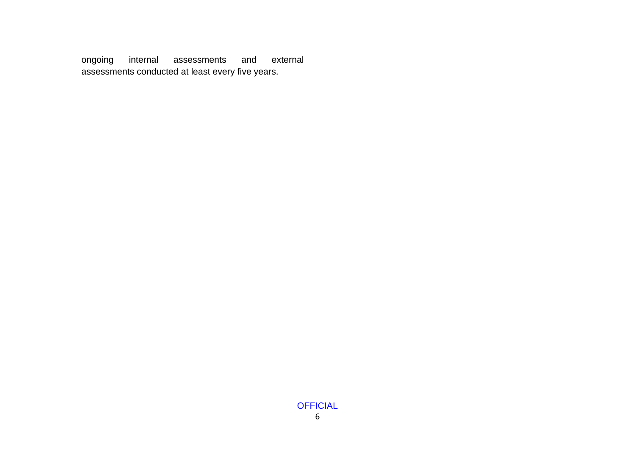ongoing internal assessments and external assessments conducted at least every five years.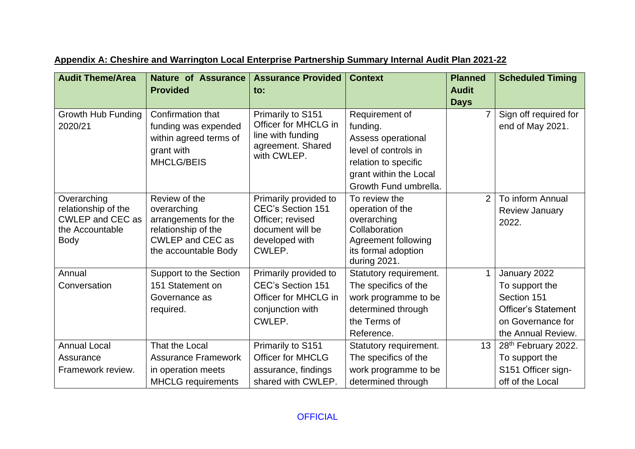| <b>Audit Theme/Area</b>                        | <b>Nature of Assurance</b><br><b>Provided</b>             | <b>Assurance Provided</b><br>to:                      | <b>Context</b>                  | <b>Planned</b><br><b>Audit</b> | <b>Scheduled Timing</b>    |
|------------------------------------------------|-----------------------------------------------------------|-------------------------------------------------------|---------------------------------|--------------------------------|----------------------------|
|                                                |                                                           |                                                       |                                 | <b>Days</b>                    |                            |
| Growth Hub Funding                             | Confirmation that                                         | Primarily to S151                                     | Requirement of                  |                                | Sign off required for      |
| 2020/21                                        | funding was expended                                      | Officer for MHCLG in                                  | funding.                        |                                | end of May 2021.           |
|                                                | within agreed terms of<br>grant with<br><b>MHCLG/BEIS</b> | line with funding<br>agreement. Shared<br>with CWLEP. | Assess operational              |                                |                            |
|                                                |                                                           |                                                       | level of controls in            |                                |                            |
|                                                |                                                           |                                                       | relation to specific            |                                |                            |
|                                                |                                                           |                                                       | grant within the Local          |                                |                            |
|                                                |                                                           |                                                       | Growth Fund umbrella.           |                                |                            |
| Overarching                                    | Review of the                                             | Primarily provided to                                 | To review the                   | $\overline{2}$                 | To inform Annual           |
| relationship of the<br><b>CWLEP and CEC as</b> | overarching<br>arrangements for the                       | <b>CEC's Section 151</b><br>Officer; revised          | operation of the<br>overarching |                                | <b>Review January</b>      |
| the Accountable                                | relationship of the                                       | document will be                                      | Collaboration                   |                                | 2022.                      |
| <b>Body</b>                                    | CWLEP and CEC as                                          | developed with                                        | Agreement following             |                                |                            |
|                                                | the accountable Body                                      | CWLEP.                                                | its formal adoption             |                                |                            |
|                                                |                                                           |                                                       | during 2021.                    |                                |                            |
| Annual                                         | Support to the Section                                    | Primarily provided to                                 | Statutory requirement.          |                                | January 2022               |
| Conversation                                   | 151 Statement on                                          | <b>CEC's Section 151</b>                              | The specifics of the            |                                | To support the             |
|                                                | Governance as                                             | Officer for MHCLG in                                  | work programme to be            |                                | Section 151                |
|                                                | required.                                                 | conjunction with                                      | determined through              |                                | <b>Officer's Statement</b> |
|                                                |                                                           | CWLEP.                                                | the Terms of                    |                                | on Governance for          |
|                                                |                                                           |                                                       | Reference.                      |                                | the Annual Review.         |
| <b>Annual Local</b>                            | That the Local                                            | Primarily to S151                                     | Statutory requirement.          | 13                             | 28th February 2022.        |
| Assurance                                      | <b>Assurance Framework</b>                                | <b>Officer for MHCLG</b>                              | The specifics of the            |                                | To support the             |
| Framework review.                              | in operation meets                                        | assurance, findings                                   | work programme to be            |                                | S151 Officer sign-         |
|                                                | <b>MHCLG</b> requirements                                 | shared with CWLEP.                                    | determined through              |                                | off of the Local           |

# **Appendix A: Cheshire and Warrington Local Enterprise Partnership Summary Internal Audit Plan 2021-22**